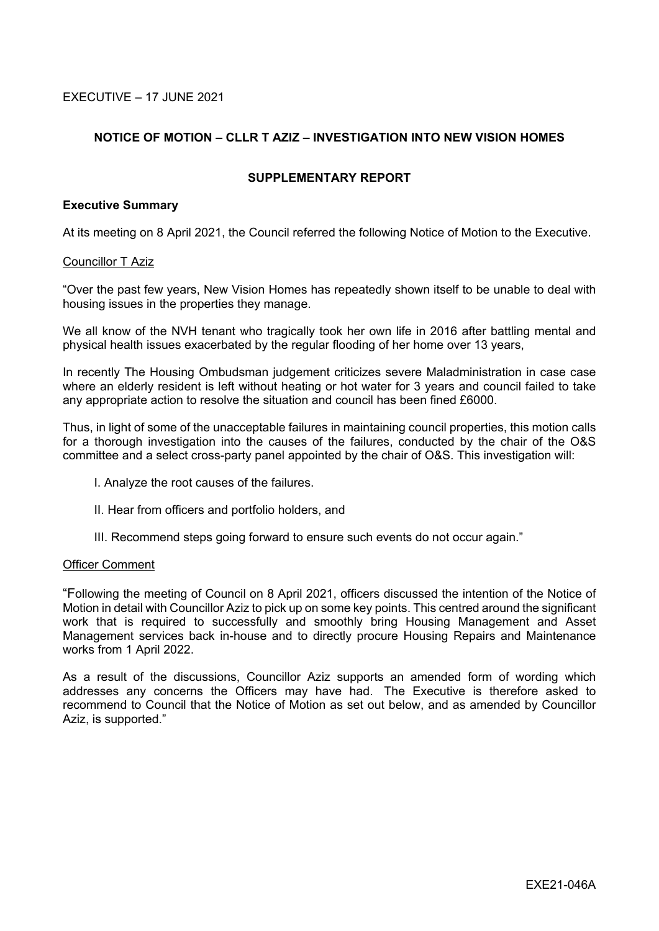EXECUTIVE – 17 JUNE 2021

# **NOTICE OF MOTION – CLLR T AZIZ – INVESTIGATION INTO NEW VISION HOMES**

### **SUPPLEMENTARY REPORT**

### **Executive Summary**

At its meeting on 8 April 2021, the Council referred the following Notice of Motion to the Executive.

### Councillor T Aziz

"Over the past few years, New Vision Homes has repeatedly shown itself to be unable to deal with housing issues in the properties they manage.

We all know of the NVH tenant who tragically took her own life in 2016 after battling mental and physical health issues exacerbated by the regular flooding of her home over 13 years,

In recently The Housing Ombudsman judgement criticizes severe Maladministration in case case where an elderly resident is left without heating or hot water for 3 years and council failed to take any appropriate action to resolve the situation and council has been fined £6000.

Thus, in light of some of the unacceptable failures in maintaining council properties, this motion calls for a thorough investigation into the causes of the failures, conducted by the chair of the O&S committee and a select cross-party panel appointed by the chair of O&S. This investigation will:

- I. Analyze the root causes of the failures.
- II. Hear from officers and portfolio holders, and
- III. Recommend steps going forward to ensure such events do not occur again."

### Officer Comment

"Following the meeting of Council on 8 April 2021, officers discussed the intention of the Notice of Motion in detail with Councillor Aziz to pick up on some key points. This centred around the significant work that is required to successfully and smoothly bring Housing Management and Asset Management services back in-house and to directly procure Housing Repairs and Maintenance works from 1 April 2022.

As a result of the discussions, Councillor Aziz supports an amended form of wording which addresses any concerns the Officers may have had. The Executive is therefore asked to recommend to Council that the Notice of Motion as set out below, and as amended by Councillor Aziz, is supported."